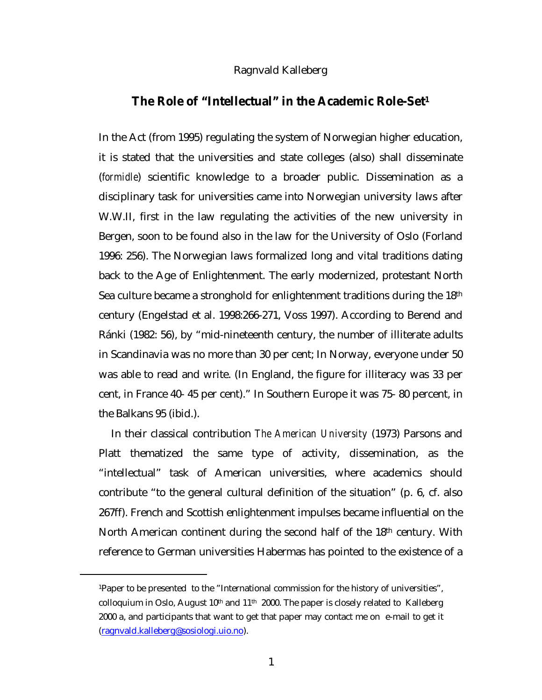## Ragnvald Kalleberg

## <span id="page-0-0"></span>**The Role of "Intellectual" in the Academic Role-Set1**

In the Act (from 1995) regulating the system of Norwegian higher education, it is stated that the universities and state colleges (also) shall disseminate (*formidle*) scientific knowledge to a broader public. Dissemination as a disciplinary task for universities came into Norwegian university laws after W.W.II, first in the law regulating the activities of the new university in Bergen, soon to be found also in the law for the University of Oslo (Forland 1996: 256). The Norwegian laws formalized long and vital traditions dating back to the Age of Enlightenment. The early modernized, protestant North Sea culture became a stronghold for enlightenment traditions during the 18th century (Engelstad et al. 1998:266-271, Voss 1997). According to Berend and Ránki (1982: 56), by "mid-nineteenth century, the number of illiterate adults in Scandinavia was no more than 30 per cent; In Norway, everyone under 50 was able to read and write. (In England, the figure for illiteracy was 33 per cent, in France 40- 45 per cent)." In Southern Europe it was 75- 80 percent, in the Balkans 95 (ibid.).

In their classical contribution *The American University* (1973) Parsons and Platt thematized the same type of activity, dissemination, as the "intellectual" task of American universities, where academics should contribute "to the general cultural definition of the situation" (p. 6, cf. also 267ff). French and Scottish enlightenment impulses became influential on the North American continent during the second half of the 18th century. With reference to German universities Habermas has pointed to the existence of a

<sup>1</sup>Paper to be presented to the "International commission for the history of universities", colloquium in Oslo, August  $10<sup>th</sup>$  and  $11<sup>th</sup>$  2000. The paper is closely related to Kalleberg 2000 a, and participants that want to get that paper may contact me on e-mail to get it (ragnvald.kalleberg@sosiologi.uio.no).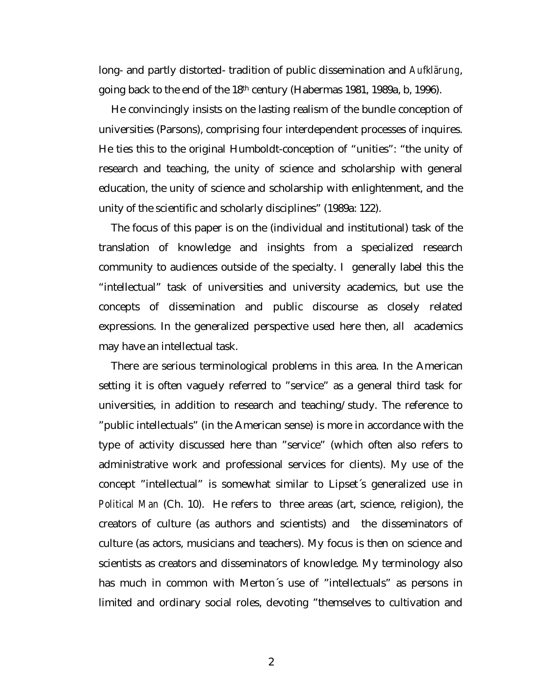long- and partly distorted- tradition of public dissemination and *Aufklärung*, going back to the end of the 18th century (Habermas 1981, 1989a, b, 1996).

He convincingly insists on the lasting realism of the bundle conception of universities (Parsons), comprising four interdependent processes of inquires. He ties this to the original Humboldt-conception of "unities": "the unity of research and teaching, the unity of science and scholarship with general education, the unity of science and scholarship with enlightenment, and the unity of the scientific and scholarly disciplines" (1989a: 122).

The focus of this paper is on the (individual and institutional) task of the translation of knowledge and insights from a specialized research community to audiences outside of the specialty. I generally label this the "intellectual" task of universities and university academics, but use the concepts of dissemination and public discourse as closely related expressions. In the generalized perspective used here then, all academics may have an intellectual task.

There are serious terminological problems in this area. In the American setting it is often vaguely referred to "service" as a general third task for universities, in addition to research and teaching/study. The reference to "public intellectuals" (in the American sense) is more in accordance with the type of activity discussed here than "service" (which often also refers to administrative work and professional services for clients). My use of the concept "intellectual" is somewhat similar to Lipset´s generalized use in *Political Man* (Ch. 10). He refers to three areas (art, science, religion), the creators of culture (as authors and scientists) and the disseminators of culture (as actors, musicians and teachers). My focus is then on science and scientists as creators and disseminators of knowledge. My terminology also has much in common with Merton´s use of "intellectuals" as persons in limited and ordinary social roles, devoting "themselves to cultivation and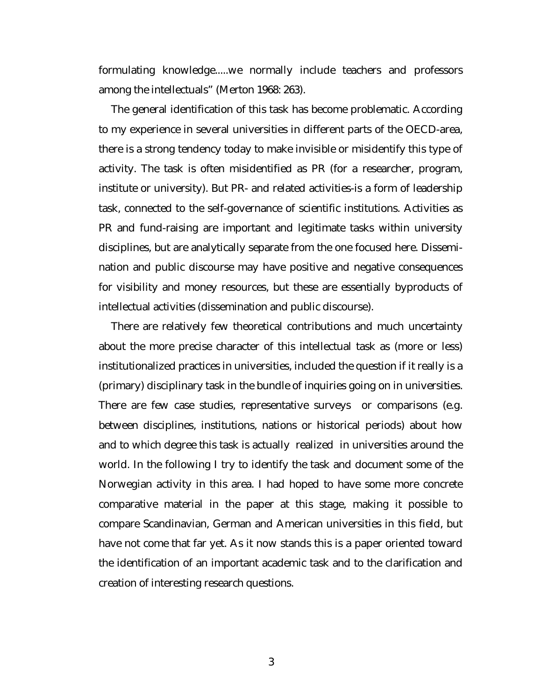formulating knowledge.....we normally include teachers and professors among the intellectuals" (Merton 1968: 263).

The general identification of this task has become problematic. According to my experience in several universities in different parts of the OECD-area, there is a strong tendency today to make invisible or misidentify this type of activity. The task is often misidentified as PR (for a researcher, program, institute or university). But PR- and related activities-is a form of leadership task, connected to the self-governance of scientific institutions. Activities as PR and fund-raising are important and legitimate tasks within university disciplines, but are analytically separate from the one focused here. Dissemination and public discourse may have positive and negative consequences for visibility and money resources, but these are essentially byproducts of intellectual activities (dissemination and public discourse).

There are relatively few theoretical contributions and much uncertainty about the more precise character of this intellectual task as (more or less) institutionalized practices in universities, included the question if it really is a (primary) disciplinary task in the bundle of inquiries going on in universities. There are few case studies, representative surveys or comparisons (e.g. between disciplines, institutions, nations or historical periods) about how and to which degree this task is actually realized in universities around the world. In the following I try to identify the task and document some of the Norwegian activity in this area. I had hoped to have some more concrete comparative material in the paper at this stage, making it possible to compare Scandinavian, German and American universities in this field, but have not come that far yet. As it now stands this is a paper oriented toward the identification of an important academic task and to the clarification and creation of interesting research questions.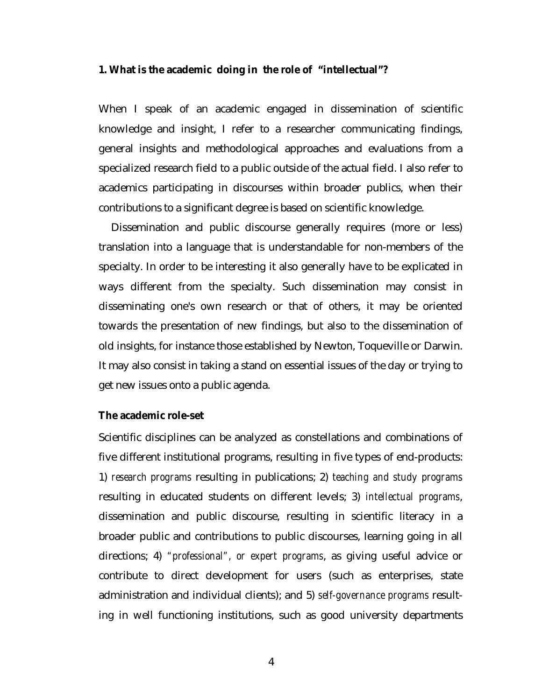#### <span id="page-3-0"></span>**1. What is the academic doing in the role of "intellectual"?**

When I speak of an academic engaged in dissemination of scientific knowledge and insight, I refer to a researcher communicating findings, general insights and methodological approaches and evaluations from a specialized research field to a public outside of the actual field. I also refer to academics participating in discourses within broader publics, when their contributions to a significant degree is based on scientific knowledge.

Dissemination and public discourse generally requires (more or less) translation into a language that is understandable for non-members of the specialty. In order to be interesting it also generally have to be explicated in ways different from the specialty. Such dissemination may consist in disseminating one's own research or that of others, it may be oriented towards the presentation of new findings, but also to the dissemination of old insights, for instance those established by Newton, Toqueville or Darwin. It may also consist in taking a stand on essential issues of the day or trying to get new issues onto a public agenda.

#### **The academic role-set**

Scientific disciplines can be analyzed as constellations and combinations of five different institutional programs, resulting in five types of end-products: 1) *research programs* resulting in publications; 2) *teaching and study programs* resulting in educated students on different levels; 3) *intellectual programs*, dissemination and public discourse, resulting in scientific literacy in a broader public and contributions to public discourses, learning going in all directions; 4) *"professional", or expert programs*, as giving useful advice or contribute to direct development for users (such as enterprises, state administration and individual clients); and 5) *self-governance programs* resulting in well functioning institutions, such as good university departments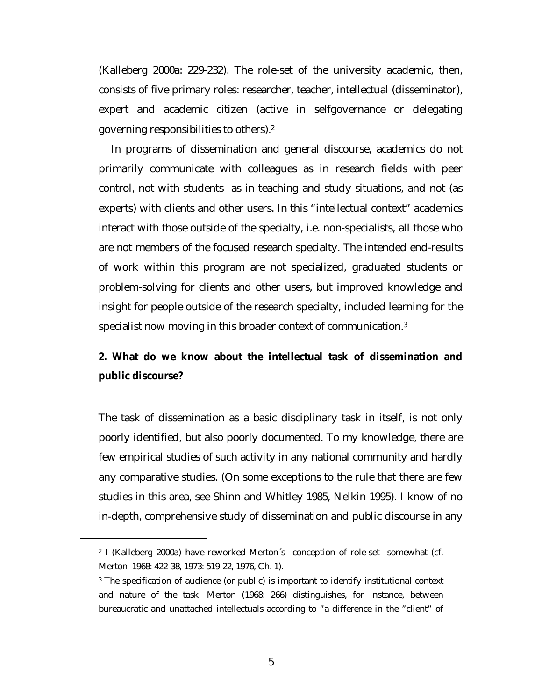<span id="page-4-0"></span>(Kalleberg 2000a: 229-232). The role-set of the university academic, then, consists of five primary roles: researcher, teacher, intellectual (disseminator), expert and academic citizen (active in selfgovernance or delegating governing responsibilities to others).2

In programs of dissemination and general discourse, academics do not primarily communicate with colleagues as in research fields with peer control, not with students as in teaching and study situations, and not (as experts) with clients and other users. In this "intellectual context" academics interact with those outside of the specialty, i.e. non-specialists, all those who are not members of the focused research specialty. The intended end-results of work within this program are not specialized, graduated students or problem-solving for clients and other users, but improved knowledge and insight for people outside of the research specialty, included learning for the specialist now moving in this broader context of communication.3

# **2. What do we know about the intellectual task of dissemination and public discourse?**

The task of dissemination as a basic disciplinary task in itself, is not only poorly identified, but also poorly documented. To my knowledge, there are few empirical studies of such activity in any national community and hardly any comparative studies. (On some exceptions to the rule that there are few studies in this area, see Shinn and Whitley 1985, Nelkin 1995). I know of no in-depth, comprehensive study of dissemination and public discourse in any

<sup>2</sup> I (Kalleberg 2000a) have reworked Merton´s conception of role-set somewhat (cf. Merton 1968: 422-38, 1973: 519-22, 1976, Ch. 1).

<sup>3</sup> The specification of audience (or public) is important to identify institutional context and nature of the task. Merton (1968: 266) distinguishes, for instance, between bureaucratic and unattached intellectuals according to "a difference in the "client" of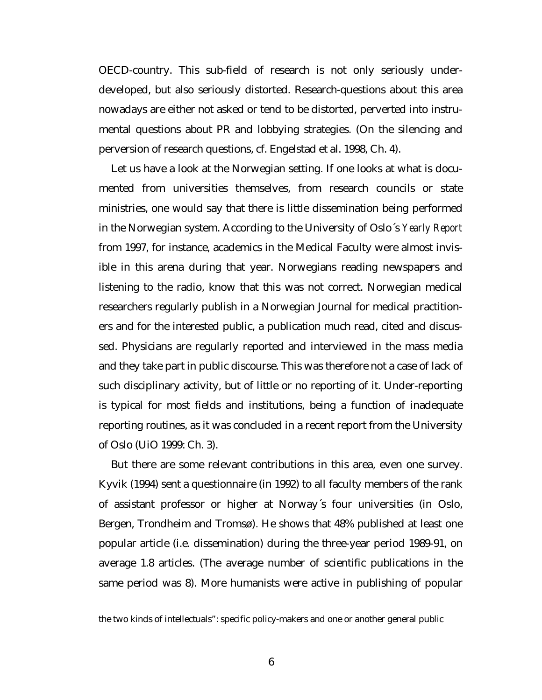OECD-country. This sub-field of research is not only seriously underdeveloped, but also seriously distorted. Research-questions about this area nowadays are either not asked or tend to be distorted, perverted into instrumental questions about PR and lobbying strategies. (On the silencing and perversion of research questions, cf. Engelstad et al. 1998, Ch. 4).

Let us have a look at the Norwegian setting. If one looks at what is documented from universities themselves, from research councils or state ministries, one would say that there is little dissemination being performed in the Norwegian system. According to the University of Oslo´s *Yearly Report* from 1997, for instance, academics in the Medical Faculty were almost invisible in this arena during that year. Norwegians reading newspapers and listening to the radio, know that this was not correct. Norwegian medical researchers regularly publish in a Norwegian Journal for medical practitioners and for the interested public, a publication much read, cited and discussed. Physicians are regularly reported and interviewed in the mass media and they take part in public discourse. This was therefore not a case of lack of such disciplinary activity, but of little or no reporting of it. Under-reporting is typical for most fields and institutions, being a function of inadequate reporting routines, as it was concluded in a recent report from the University of Oslo (UiO 1999: Ch. 3).

But there are some relevant contributions in this area, even one survey. Kyvik (1994) sent a questionnaire (in 1992) to all faculty members of the rank of assistant professor or higher at Norway´s four universities (in Oslo, Bergen, Trondheim and Tromsø). He shows that 48% published at least one popular article (i.e. dissemination) during the three-year period 1989-91, on average 1.8 articles. (The average number of scientific publications in the same period was 8). More humanists were active in publishing of popular

the two kinds of intellectuals": specific policy-makers and one or another general public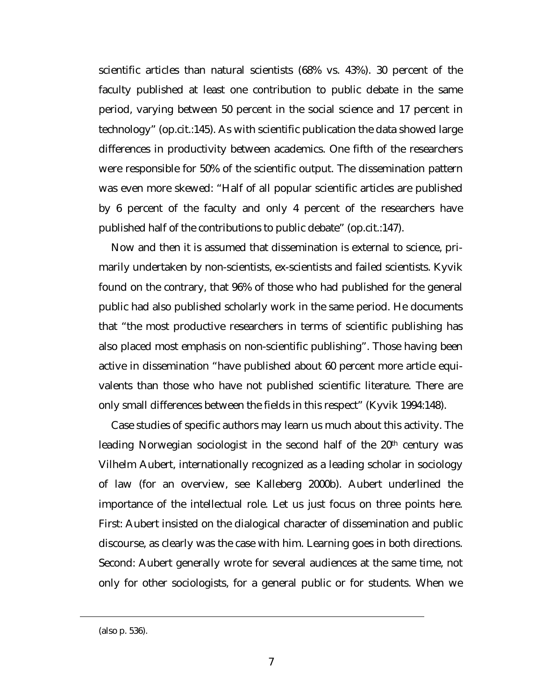scientific articles than natural scientists (68% vs. 43%). 30 percent of the faculty published at least one contribution to public debate in the same period, varying between 50 percent in the social science and 17 percent in technology" (op.cit.:145). As with scientific publication the data showed large differences in productivity between academics. One fifth of the researchers were responsible for 50% of the scientific output. The dissemination pattern was even more skewed: "Half of all popular scientific articles are published by 6 percent of the faculty and only 4 percent of the researchers have published half of the contributions to public debate" (op.cit.:147).

Now and then it is assumed that dissemination is external to science, primarily undertaken by non-scientists, ex-scientists and failed scientists. Kyvik found on the contrary, that 96% of those who had published for the general public had also published scholarly work in the same period. He documents that "the most productive researchers in terms of scientific publishing has also placed most emphasis on non-scientific publishing". Those having been active in dissemination "have published about 60 percent more article equivalents than those who have not published scientific literature. There are only small differences between the fields in this respect" (Kyvik 1994:148).

Case studies of specific authors may learn us much about this activity. The leading Norwegian sociologist in the second half of the 20<sup>th</sup> century was Vilhelm Aubert, internationally recognized as a leading scholar in sociology of law (for an overview, see Kalleberg 2000b). Aubert underlined the importance of the intellectual role. Let us just focus on three points here. First: Aubert insisted on the dialogical character of dissemination and public discourse, as clearly was the case with him. Learning goes in both directions. Second: Aubert generally wrote for several audiences at the same time, not only for other sociologists, for a general public or for students. When we

<sup>(</sup>also p. 536).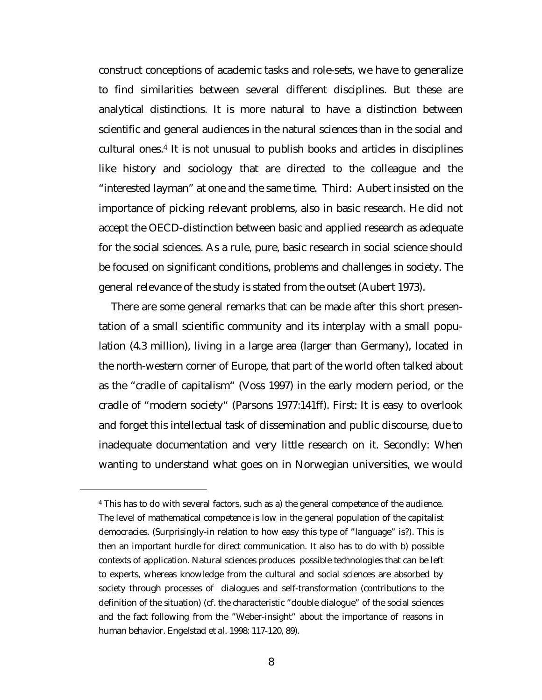construct conceptions of academic tasks and role-sets, we have to generalize to find similarities between several different disciplines. But these are analytical distinctions. It is more natural to have a distinction between scientific and general audiences in the natural sciences than in the social and cultural ones.4 It is not unusual to publish books and articles in disciplines like history and sociology that are directed to the colleague and the "interested layman" at one and the same time. Third: Aubert insisted on the importance of picking relevant problems, also in basic research. He did not accept the OECD-distinction between basic and applied research as adequate for the social sciences. As a rule, pure, basic research in social science should be focused on significant conditions, problems and challenges in society. The general relevance of the study is stated from the outset (Aubert 1973).

There are some general remarks that can be made after this short presentation of a small scientific community and its interplay with a small population (4.3 million), living in a large area (larger than Germany), located in the north-western corner of Europe, that part of the world often talked about as the "cradle of capitalism" (Voss 1997) in the early modern period, or the cradle of "modern society" (Parsons 1977:141ff). First: It is easy to overlook and forget this intellectual task of dissemination and public discourse, due to inadequate documentation and very little research on it. Secondly: When wanting to understand what goes on in Norwegian universities, we would

<sup>4</sup> This has to do with several factors, such as a) the general competence of the audience. The level of mathematical competence is low in the general population of the capitalist democracies. (Surprisingly-in relation to how easy this type of "language" is?). This is then an important hurdle for direct communication. It also has to do with b) possible contexts of application. Natural sciences produces possible technologies that can be left to experts, whereas knowledge from the cultural and social sciences are absorbed by society through processes of dialogues and self-transformation (contributions to the definition of the situation) (cf. the characteristic "double dialogue" of the social sciences and the fact following from the "Weber-insight" about the importance of reasons in human behavior. Engelstad et al. 1998: 117-120, 89).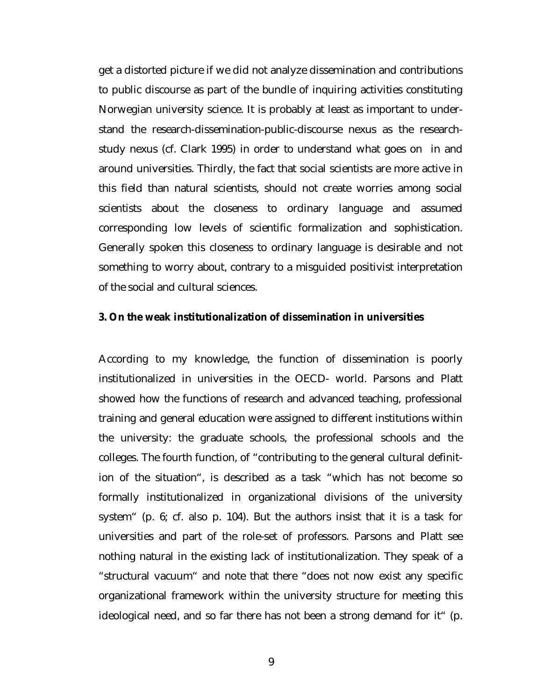<span id="page-8-0"></span>get a distorted picture if we did not analyze dissemination and contributions to public discourse as part of the bundle of inquiring activities constituting Norwegian university science. It is probably at least as important to understand the research-dissemination-public-discourse nexus as the researchstudy nexus (cf. Clark 1995) in order to understand what goes on in and around universities. Thirdly, the fact that social scientists are more active in this field than natural scientists, should not create worries among social scientists about the closeness to ordinary language and assumed corresponding low levels of scientific formalization and sophistication. Generally spoken this closeness to ordinary language is desirable and not something to worry about, contrary to a misguided positivist interpretation of the social and cultural sciences.

## **3. On the weak institutionalization of dissemination in universities**

According to my knowledge, the function of dissemination is poorly institutionalized in universities in the OECD- world. Parsons and Platt showed how the functions of research and advanced teaching, professional training and general education were assigned to different institutions within the university: the graduate schools, the professional schools and the colleges. The fourth function, of "contributing to the general cultural definition of the situation", is described as a task "which has not become so formally institutionalized in organizational divisions of the university system" (p. 6; cf. also p. 104). But the authors insist that it is a task for universities and part of the role-set of professors. Parsons and Platt see nothing natural in the existing lack of institutionalization. They speak of a "structural vacuum" and note that there "does not now exist any specific organizational framework within the university structure for meeting this ideological need, and so far there has not been a strong demand for it" (p.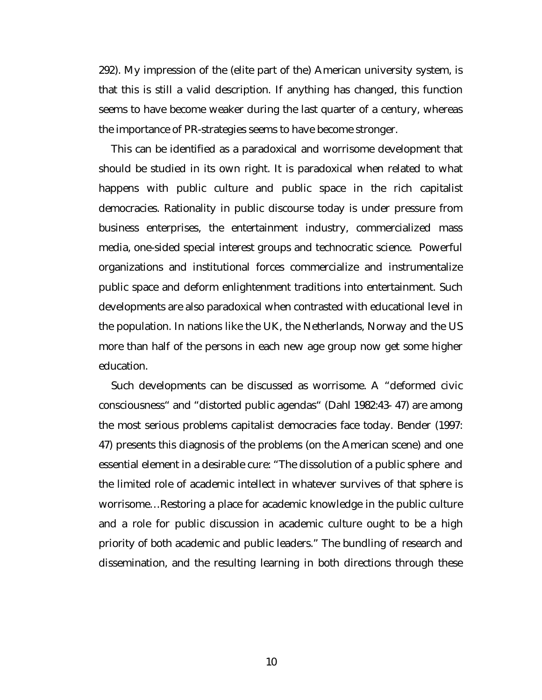292). My impression of the (elite part of the) American university system, is that this is still a valid description. If anything has changed, this function seems to have become weaker during the last quarter of a century, whereas the importance of PR-strategies seems to have become stronger.

This can be identified as a paradoxical and worrisome development that should be studied in its own right. It is paradoxical when related to what happens with public culture and public space in the rich capitalist democracies. Rationality in public discourse today is under pressure from business enterprises, the entertainment industry, commercialized mass media, one-sided special interest groups and technocratic science. Powerful organizations and institutional forces commercialize and instrumentalize public space and deform enlightenment traditions into entertainment. Such developments are also paradoxical when contrasted with educational level in the population. In nations like the UK, the Netherlands, Norway and the US more than half of the persons in each new age group now get some higher education.

Such developments can be discussed as worrisome. A "deformed civic consciousness" and "distorted public agendas" (Dahl 1982:43- 47) are among the most serious problems capitalist democracies face today. Bender (1997: 47) presents this diagnosis of the problems (on the American scene) and one essential element in a desirable cure: "The dissolution of a public sphere and the limited role of academic intellect in whatever survives of that sphere is worrisome…Restoring a place for academic knowledge in the public culture and a role for public discussion in academic culture ought to be a high priority of both academic and public leaders." The bundling of research and dissemination, and the resulting learning in both directions through these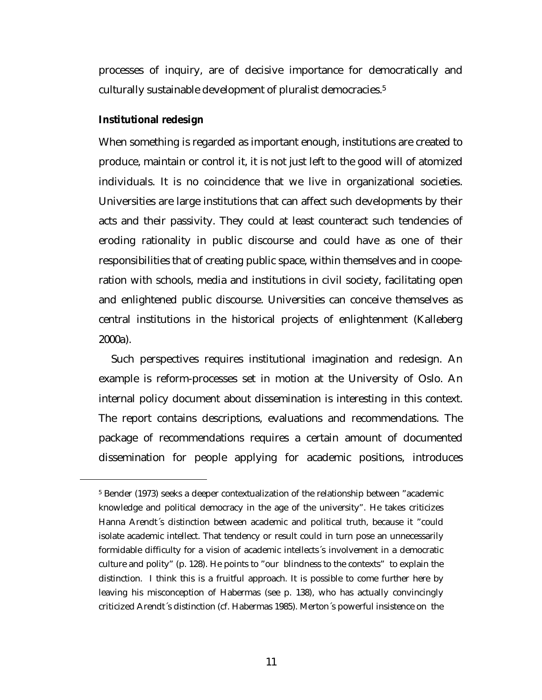<span id="page-10-0"></span>processes of inquiry, are of decisive importance for democratically and culturally sustainable development of pluralist democracies.5

#### **Institutional redesign**

 $\overline{a}$ 

When something is regarded as important enough, institutions are created to produce, maintain or control it, it is not just left to the good will of atomized individuals. It is no coincidence that we live in organizational societies. Universities are large institutions that can affect such developments by their acts and their passivity. They could at least counteract such tendencies of eroding rationality in public discourse and could have as one of their responsibilities that of creating public space, within themselves and in cooperation with schools, media and institutions in civil society, facilitating open and enlightened public discourse. Universities can conceive themselves as central institutions in the historical projects of enlightenment (Kalleberg 2000a).

Such perspectives requires institutional imagination and redesign. An example is reform-processes set in motion at the University of Oslo. An internal policy document about dissemination is interesting in this context. The report contains descriptions, evaluations and recommendations. The package of recommendations requires a certain amount of documented dissemination for people applying for academic positions, introduces

<sup>5</sup> Bender (1973) seeks a deeper contextualization of the relationship between "academic knowledge and political democracy in the age of the university". He takes criticizes Hanna Arendt´s distinction between academic and political truth, because it "could isolate academic intellect. That tendency or result could in turn pose an unnecessarily formidable difficulty for a vision of academic intellects´s involvement in a democratic culture and polity" (p. 128). He points to "our blindness to the contexts" to explain the distinction. I think this is a fruitful approach. It is possible to come further here by leaving his misconception of Habermas (see p. 138), who has actually convincingly criticized Arendt´s distinction (cf. Habermas 1985). Merton´s powerful insistence on the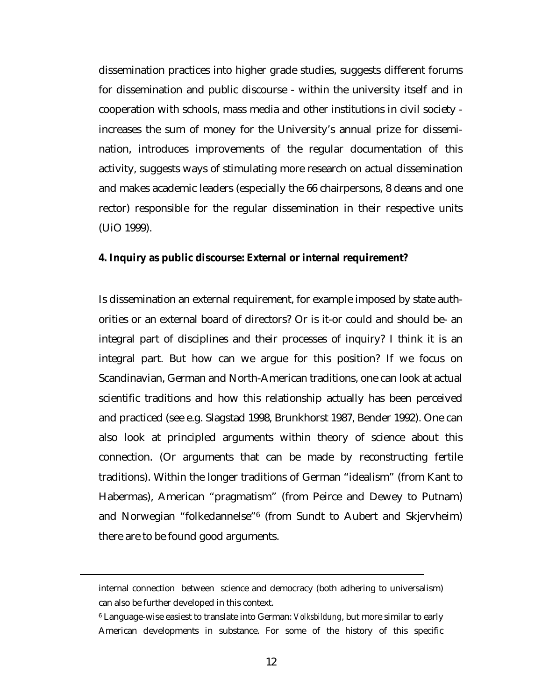<span id="page-11-0"></span>dissemination practices into higher grade studies, suggests different forums for dissemination and public discourse - within the university itself and in cooperation with schools, mass media and other institutions in civil society increases the sum of money for the University's annual prize for dissemination, introduces improvements of the regular documentation of this activity, suggests ways of stimulating more research on actual dissemination and makes academic leaders (especially the 66 chairpersons, 8 deans and one rector) responsible for the regular dissemination in their respective units (UiO 1999).

#### **4. Inquiry as public discourse: External or internal requirement?**

Is dissemination an external requirement, for example imposed by state authorities or an external board of directors? Or is it-or could and should be- an integral part of disciplines and their processes of inquiry? I think it is an integral part. But how can we argue for this position? If we focus on Scandinavian, German and North-American traditions, one can look at actual scientific traditions and how this relationship actually has been perceived and practiced (see e.g. Slagstad 1998, Brunkhorst 1987, Bender 1992). One can also look at principled arguments within theory of science about this connection. (Or arguments that can be made by reconstructing fertile traditions). Within the longer traditions of German "idealism" (from Kant to Habermas), American "pragmatism" (from Peirce and Dewey to Putnam) and Norwegian "folkedannelse"6 (from Sundt to Aubert and Skjervheim) there are to be found good arguments.

internal connection between science and democracy (both adhering to universalism) can also be further developed in this context.

<sup>6</sup> Language-wise easiest to translate into German: *Volksbildung*, but more similar to early American developments in substance. For some of the history of this specific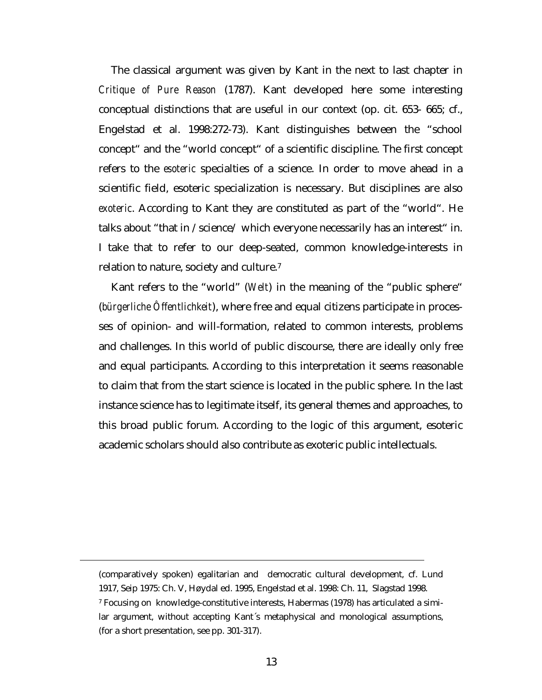The classical argument was given by Kant in the next to last chapter in *Critique of Pure Reason* (1787). Kant developed here some interesting conceptual distinctions that are useful in our context (op. cit. 653- 665; cf., Engelstad et al. 1998:272-73). Kant distinguishes between the "school concept" and the "world concept" of a scientific discipline. The first concept refers to the *esoteric* specialties of a science. In order to move ahead in a scientific field, esoteric specialization is necessary. But disciplines are also *exoteric*. According to Kant they are constituted as part of the "world". He talks about "that in /science/ which everyone necessarily has an interest" in. I take that to refer to our deep-seated, common knowledge-interests in relation to nature, society and culture.7

Kant refers to the "world" (*Welt*) in the meaning of the "public sphere" (*bürgerliche Ôffentlichkeit*), where free and equal citizens participate in processes of opinion- and will-formation, related to common interests, problems and challenges. In this world of public discourse, there are ideally only free and equal participants. According to this interpretation it seems reasonable to claim that from the start science is located in the public sphere. In the last instance science has to legitimate itself, its general themes and approaches, to this broad public forum. According to the logic of this argument, esoteric academic scholars should also contribute as exoteric public intellectuals.

(comparatively spoken) egalitarian and democratic cultural development, cf. Lund 1917, Seip 1975: Ch. V, Høydal ed. 1995, Engelstad et al. 1998: Ch. 11, Slagstad 1998. 7 Focusing on knowledge-constitutive interests, Habermas (1978) has articulated a similar argument, without accepting Kant´s metaphysical and monological assumptions, (for a short presentation, see pp. 301-317).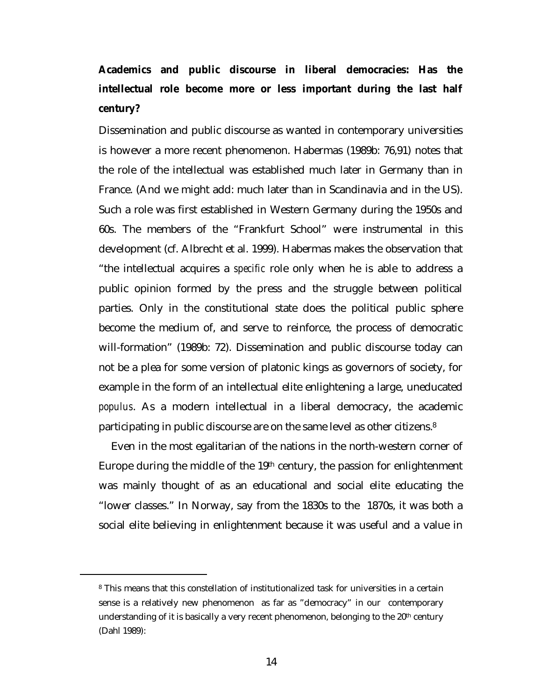# <span id="page-13-0"></span>**Academics and public discourse in liberal democracies: Has the intellectual role become more or less important during the last half century?**

Dissemination and public discourse as wanted in contemporary universities is however a more recent phenomenon. Habermas (1989b: 76,91) notes that the role of the intellectual was established much later in Germany than in France. (And we might add: much later than in Scandinavia and in the US). Such a role was first established in Western Germany during the 1950s and 60s. The members of the "Frankfurt School" were instrumental in this development (cf. Albrecht et al. 1999). Habermas makes the observation that "the intellectual acquires a *specific* role only when he is able to address a public opinion formed by the press and the struggle between political parties. Only in the constitutional state does the political public sphere become the medium of, and serve to reinforce, the process of democratic will-formation" (1989b: 72). Dissemination and public discourse today can not be a plea for some version of platonic kings as governors of society, for example in the form of an intellectual elite enlightening a large, uneducated *populus*. As a modern intellectual in a liberal democracy, the academic participating in public discourse are on the same level as other citizens.8

Even in the most egalitarian of the nations in the north-western corner of Europe during the middle of the 19th century, the passion for enlightenment was mainly thought of as an educational and social elite educating the "lower classes." In Norway, say from the 1830s to the 1870s, it was both a social elite believing in enlightenment because it was useful and a value in

<sup>8</sup> This means that this constellation of institutionalized task for universities in a certain sense is a relatively new phenomenon as far as "democracy" in our contemporary understanding of it is basically a very recent phenomenon, belonging to the  $20<sup>th</sup>$  century (Dahl 1989):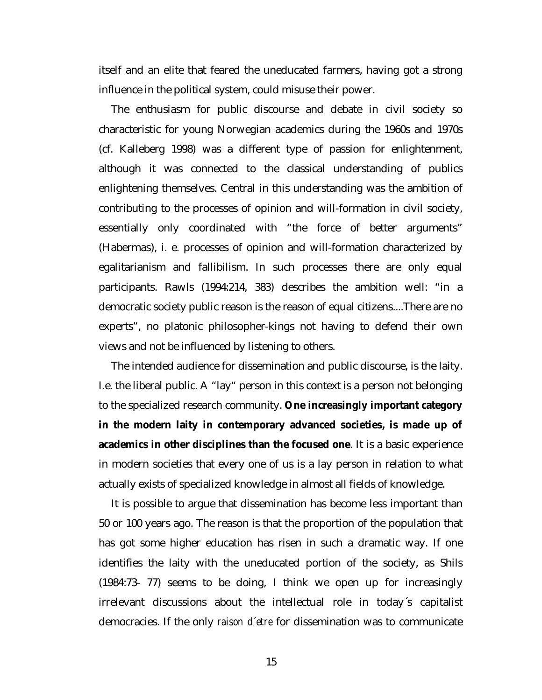itself and an elite that feared the uneducated farmers, having got a strong influence in the political system, could misuse their power.

The enthusiasm for public discourse and debate in civil society so characteristic for young Norwegian academics during the 1960s and 1970s (cf. Kalleberg 1998) was a different type of passion for enlightenment, although it was connected to the classical understanding of publics enlightening themselves. Central in this understanding was the ambition of contributing to the processes of opinion and will-formation in civil society, essentially only coordinated with "the force of better arguments" (Habermas), i. e. processes of opinion and will-formation characterized by egalitarianism and fallibilism. In such processes there are only equal participants. Rawls (1994:214, 383) describes the ambition well: "in a democratic society public reason is the reason of equal citizens....There are no experts", no platonic philosopher-kings not having to defend their own views and not be influenced by listening to others.

The intended audience for dissemination and public discourse, is the laity. I.e. the liberal public. A "lay" person in this context is a person not belonging to the specialized research community. **One increasingly important category in the modern laity in contemporary advanced societies, is made up of academics in other disciplines than the focused one**. It is a basic experience in modern societies that every one of us is a lay person in relation to what actually exists of specialized knowledge in almost all fields of knowledge.

It is possible to argue that dissemination has become less important than 50 or 100 years ago. The reason is that the proportion of the population that has got some higher education has risen in such a dramatic way. If one identifies the laity with the uneducated portion of the society, as Shils (1984:73- 77) seems to be doing, I think we open up for increasingly irrelevant discussions about the intellectual role in today´s capitalist democracies. If the only *raison d´etre* for dissemination was to communicate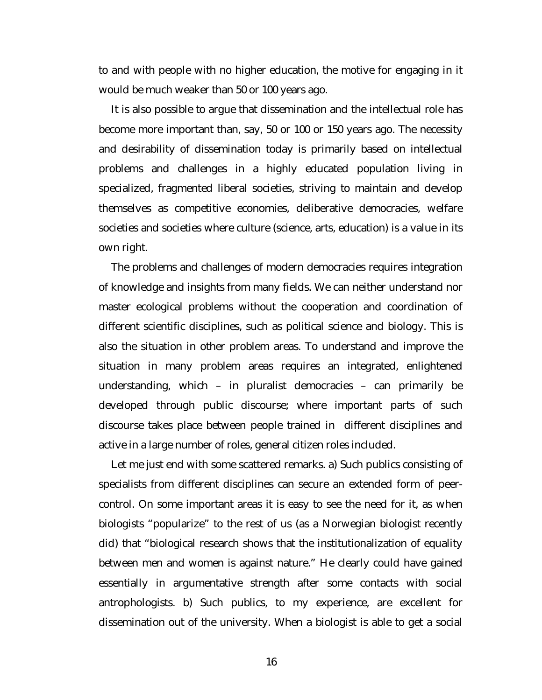to and with people with no higher education, the motive for engaging in it would be much weaker than 50 or 100 years ago.

It is also possible to argue that dissemination and the intellectual role has become more important than, say, 50 or 100 or 150 years ago. The necessity and desirability of dissemination today is primarily based on intellectual problems and challenges in a highly educated population living in specialized, fragmented liberal societies, striving to maintain and develop themselves as competitive economies, deliberative democracies, welfare societies and societies where culture (science, arts, education) is a value in its own right.

The problems and challenges of modern democracies requires integration of knowledge and insights from many fields. We can neither understand nor master ecological problems without the cooperation and coordination of different scientific disciplines, such as political science and biology. This is also the situation in other problem areas. To understand and improve the situation in many problem areas requires an integrated, enlightened understanding, which – in pluralist democracies – can primarily be developed through public discourse; where important parts of such discourse takes place between people trained in different disciplines and active in a large number of roles, general citizen roles included.

Let me just end with some scattered remarks. a) Such publics consisting of specialists from different disciplines can secure an extended form of peercontrol. On some important areas it is easy to see the need for it, as when biologists "popularize" to the rest of us (as a Norwegian biologist recently did) that "biological research shows that the institutionalization of equality between men and women is against nature." He clearly could have gained essentially in argumentative strength after some contacts with social antrophologists. b) Such publics, to my experience, are excellent for dissemination out of the university. When a biologist is able to get a social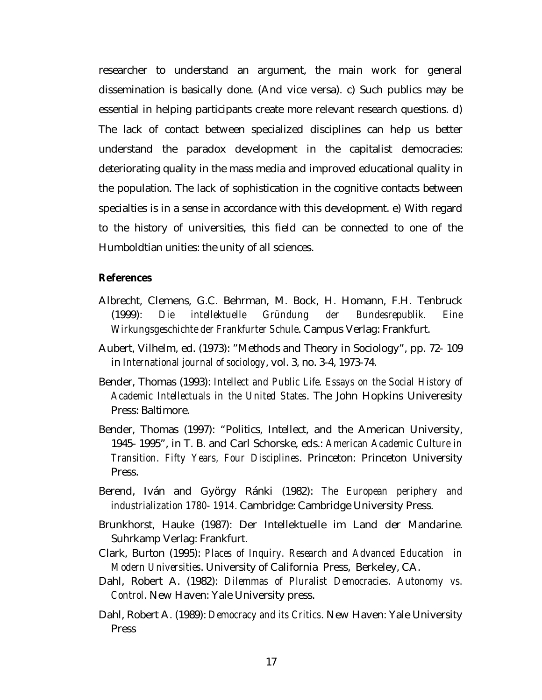<span id="page-16-0"></span>researcher to understand an argument, the main work for general dissemination is basically done. (And vice versa). c) Such publics may be essential in helping participants create more relevant research questions. d) The lack of contact between specialized disciplines can help us better understand the paradox development in the capitalist democracies: deteriorating quality in the mass media and improved educational quality in the population. The lack of sophistication in the cognitive contacts between specialties is in a sense in accordance with this development. e) With regard to the history of universities, this field can be connected to one of the Humboldtian unities: the unity of all sciences.

#### **References**

- Albrecht, Clemens, G.C. Behrman, M. Bock, H. Homann, F.H. Tenbruck (1999): *Die intellektuelle Gründung der Bundesrepublik. Eine Wirkungsgeschichte der Frankfurter Schule*. Campus Verlag: Frankfurt.
- Aubert, Vilhelm, ed. (1973): "Methods and Theory in Sociology", pp. 72- 109 in *International journal of sociology*, vol. 3, no. 3-4, 1973-74.
- Bender, Thomas (1993): *Intellect and Public Life. Essays on the Social History of Academic Intellectuals in the United States*. The John Hopkins Univeresity Press: Baltimore.
- Bender, Thomas (1997): "Politics, Intellect, and the American University, 1945- 1995", in T. B. and Carl Schorske, eds.: *American Academic Culture in Transition. Fifty Years, Four Disciplines*. Princeton: Princeton University Press.
- Berend, Iván and György Ránki (1982): *The European periphery and industrialization 1780- 1914*. Cambridge: Cambridge University Press.
- Brunkhorst, Hauke (1987): Der Intellektuelle im Land der Mandarine. Suhrkamp Verlag: Frankfurt.
- Clark, Burton (1995): *Places of Inquiry. Research and Advanced Education in Modern Universities*. University of California Press, Berkeley, CA.
- Dahl, Robert A. (1982): *Dilemmas of Pluralist Democracies. Autonomy vs. Control*. New Haven: Yale University press.
- Dahl, Robert A. (1989): *Democracy and its Critics*. New Haven: Yale University Press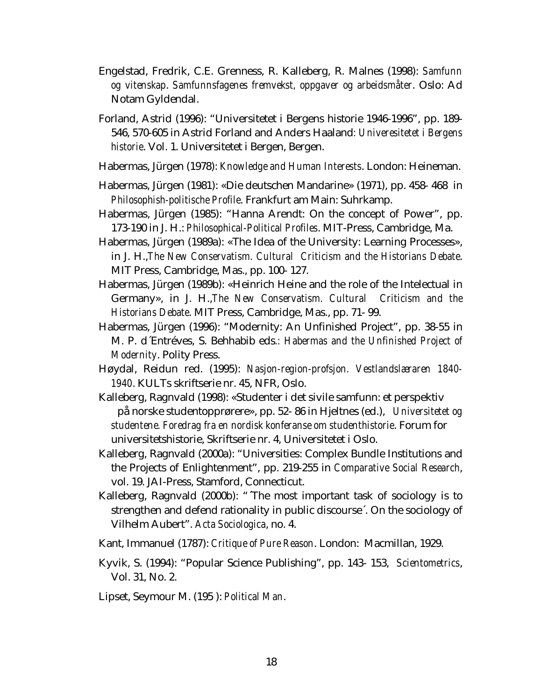- Engelstad, Fredrik, C.E. Grenness, R. Kalleberg, R. Malnes (1998): *Samfunn og vitenskap*. *Samfunnsfagenes fremvekst, oppgaver og arbeidsmåter*. Oslo: Ad Notam Gyldendal.
- Forland, Astrid (1996): "Universitetet i Bergens historie 1946-1996", pp. 189- 546, 570-605 in Astrid Forland and Anders Haaland*: Univeresitetet i Bergens historie*. Vol. 1. Universitetet i Bergen, Bergen.
- Habermas, Jürgen (1978): *Knowledge and Human Interests*. London: Heineman.
- Habermas, Jürgen (1981): «Die deutschen Mandarine» (1971), pp. 458- 468 in *Philosophish-politische Profile*. Frankfurt am Main: Suhrkamp.
- Habermas, Jürgen (1985): "Hanna Arendt: On the concept of Power", pp. 173-190 in J. H.: *Philosophical-Political Profiles*. MIT-Press, Cambridge, Ma.
- Habermas, Jürgen (1989a): «The Idea of the University: Learning Processes», in J. H.,*The New Conservatism. Cultural Criticism and the Historians Debate*. MIT Press, Cambridge, Mas., pp. 100- 127.
- Habermas, Jürgen (1989b): «Heinrich Heine and the role of the Intelectual in Germany», in J. H.,*The New Conservatism. Cultural Criticism and the Historians Debate*. MIT Press, Cambridge, Mas., pp. 71- 99.
- Habermas, Jürgen (1996): "Modernity: An Unfinished Project", pp. 38-55 in M. P. d´Entréves, S. Behhabib eds*.: Habermas and the Unfinished Project of Modernity*. Polity Press.
- Høydal, Reidun red. (1995): *Nasjon-region-profsjon. Vestlandslæraren 1840- 1940*. KULTs skriftserie nr. 45, NFR, Oslo.
- Kalleberg, Ragnvald (1998): «Studenter i det sivile samfunn: et perspektiv på norske studentopprørere», pp. 52- 86 in Hjeltnes (ed.), *Universitetet og studentene. Foredrag fra en nordisk konferanse om studenthistorie*. Forum for universitetshistorie, Skriftserie nr. 4, Universitetet i Oslo.
- Kalleberg, Ragnvald (2000a): "Universities: Complex Bundle Institutions and the Projects of Enlightenment", pp. 219-255 in *Comparative Social Research*, vol. 19. JAI-Press, Stamford, Connecticut.
- Kalleberg, Ragnvald (2000b): "´The most important task of sociology is to strengthen and defend rationality in public discourse´. On the sociology of Vilhelm Aubert". *Acta Sociologica*, no. 4.
- Kant, Immanuel (1787): *Critique of Pure Reason*. London: Macmillan, 1929.
- Kyvik, S. (1994): "Popular Science Publishing", pp. 143- 153, *Scientometrics*, Vol. 31, No. 2.
- Lipset, Seymour M. (195 ): *Political Man*.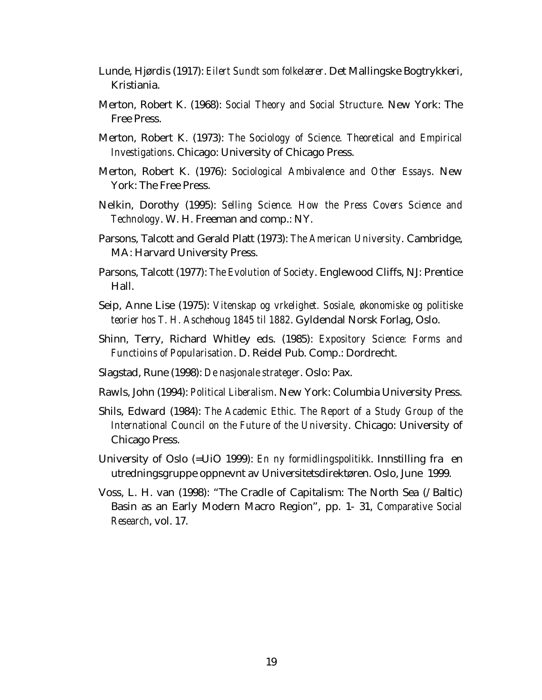- Lunde, Hjørdis (1917): *Eilert Sundt som folkelærer*. Det Mallingske Bogtrykkeri, Kristiania.
- Merton, Robert K. (1968): *Social Theory and Social Structure*. New York: The Free Press.
- Merton, Robert K. (1973): *The Sociology of Science. Theoretical and Empirical Investigations*. Chicago: University of Chicago Press.
- Merton, Robert K. (1976): *Sociological Ambivalence and Other Essays*. New York: The Free Press.
- Nelkin, Dorothy (1995): *Selling Science. How the Press Covers Science and Technology*. W. H. Freeman and comp.: NY.
- Parsons, Talcott and Gerald Platt (1973): *The American University*. Cambridge, MA: Harvard University Press.
- Parsons, Talcott (1977): *The Evolution of Society*. Englewood Cliffs, NJ: Prentice Hall.
- Seip, Anne Lise (1975): *Vitenskap og vrkelighet. Sosiale, økonomiske og politiske teorier hos T. H. Aschehoug 1845 til 1882*. Gyldendal Norsk Forlag, Oslo.
- Shinn, Terry, Richard Whitley eds. (1985): *Expository Science: Forms and Functioins of Popularisation*. D. Reidel Pub. Comp.: Dordrecht.
- Slagstad, Rune (1998): *De nasjonale strateger*. Oslo: Pax.
- Rawls, John (1994): *Political Liberalism*. New York: Columbia University Press.
- Shils, Edward (1984): *The Academic Ethic. The Report of a Study Group of the International Council on the Future of the University*. Chicago: University of Chicago Press.
- University of Oslo (=UiO 1999): *En ny formidlingspolitikk*. Innstilling fra en utredningsgruppe oppnevnt av Universitetsdirektøren. Oslo, June 1999.
- Voss, L. H. van (1998): "The Cradle of Capitalism: The North Sea (/Baltic) Basin as an Early Modern Macro Region", pp. 1- 31, *Comparative Social Research*, vol. 17.